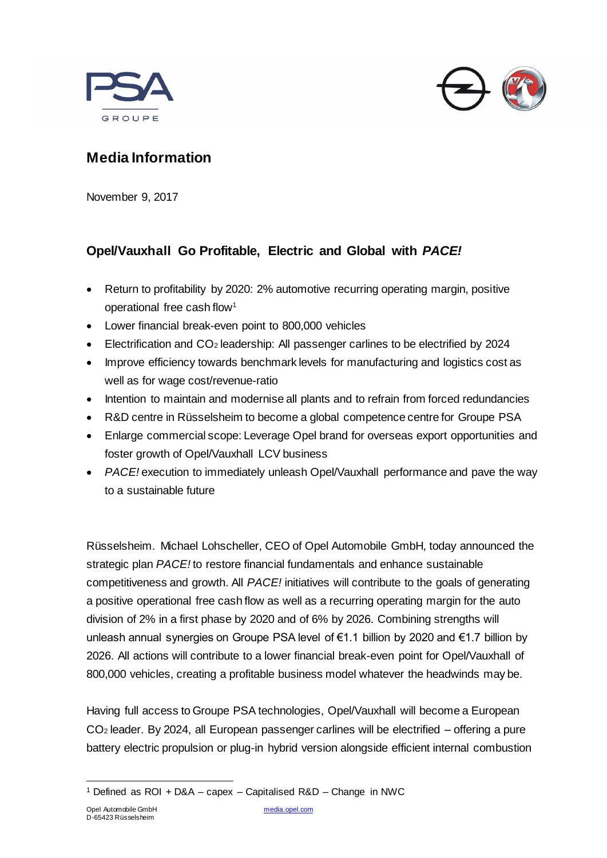



# **Media Information**

November 9, 2017

# **Opel/Vauxhall Go Profitable, Electric and Global with** *PACE!*

- Return to profitability by 2020: 2% automotive recurring operating margin, positive operational free cash flow<sup>1</sup>
- Lower financial break-even point to 800,000 vehicles
- Electrification and CO<sup>2</sup> leadership: All passenger carlines to be electrified by 2024
- Improve efficiency towards benchmark levels for manufacturing and logistics cost as well as for wage cost/revenue-ratio
- Intention to maintain and modernise all plants and to refrain from forced redundancies
- R&D centre in Rüsselsheim to become a global competence centre for Groupe PSA
- Enlarge commercial scope: Leverage Opel brand for overseas export opportunities and foster growth of Opel/Vauxhall LCV business
- *PACE!* execution to immediately unleash Opel/Vauxhall performance and pave the way to a sustainable future

Rüsselsheim. Michael Lohscheller, CEO of Opel Automobile GmbH, today announced the strategic plan *PACE!* to restore financial fundamentals and enhance sustainable competitiveness and growth. All *PACE!* initiatives will contribute to the goals of generating a positive operational free cash flow as well as a recurring operating margin for the auto division of 2% in a first phase by 2020 and of 6% by 2026. Combining strengths will unleash annual synergies on Groupe PSA level of €1.1 billion by 2020 and €1.7 billion by 2026. All actions will contribute to a lower financial break-even point for Opel/Vauxhall of 800,000 vehicles, creating a profitable business model whatever the headwinds may be.

Having full access to Groupe PSA technologies, Opel/Vauxhall will become a European CO<sup>2</sup> leader. By 2024, all European passenger carlines will be electrified – offering a pure battery electric propulsion or plug-in hybrid version alongside efficient internal combustion

<sup>&</sup>lt;sup>1</sup> Defined as ROI + D&A – capex – Capitalised R&D – Change in NWC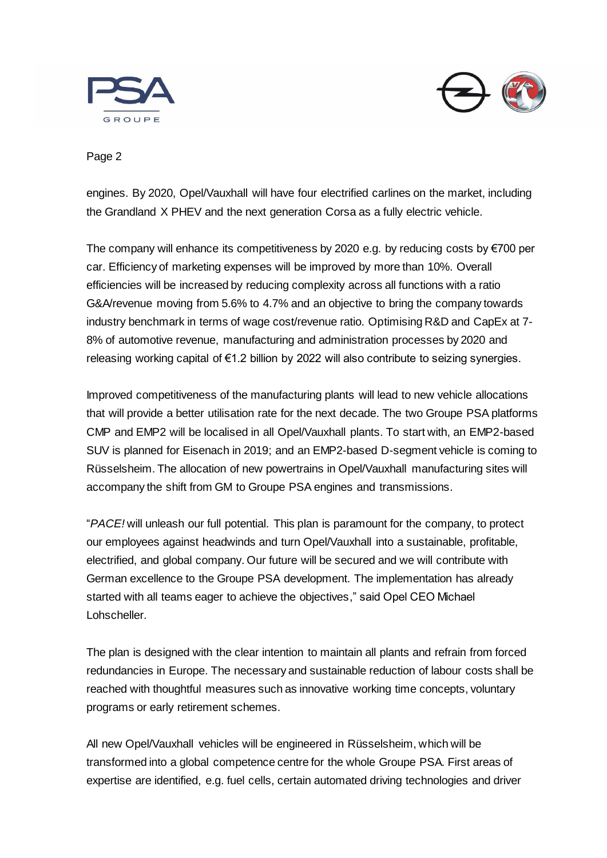



### Page 2

engines. By 2020, Opel/Vauxhall will have four electrified carlines on the market, including the Grandland X PHEV and the next generation Corsa as a fully electric vehicle.

The company will enhance its competitiveness by 2020 e.g. by reducing costs by  $\epsilon$ 700 per car. Efficiency of marketing expenses will be improved by more than 10%. Overall efficiencies will be increased by reducing complexity across all functions with a ratio G&A/revenue moving from 5.6% to 4.7% and an objective to bring the company towards industry benchmark in terms of wage cost/revenue ratio. Optimising R&D and CapEx at 7- 8% of automotive revenue, manufacturing and administration processes by 2020 and releasing working capital of €1.2 billion by 2022 will also contribute to seizing synergies.

Improved competitiveness of the manufacturing plants will lead to new vehicle allocations that will provide a better utilisation rate for the next decade. The two Groupe PSA platforms CMP and EMP2 will be localised in all Opel/Vauxhall plants. To start with, an EMP2-based SUV is planned for Eisenach in 2019; and an EMP2-based D-segment vehicle is coming to Rüsselsheim. The allocation of new powertrains in Opel/Vauxhall manufacturing sites will accompany the shift from GM to Groupe PSA engines and transmissions.

"*PACE!* will unleash our full potential. This plan is paramount for the company, to protect our employees against headwinds and turn Opel/Vauxhall into a sustainable, profitable, electrified, and global company. Our future will be secured and we will contribute with German excellence to the Groupe PSA development. The implementation has already started with all teams eager to achieve the objectives," said Opel CEO Michael Lohscheller.

The plan is designed with the clear intention to maintain all plants and refrain from forced redundancies in Europe. The necessary and sustainable reduction of labour costs shall be reached with thoughtful measures such as innovative working time concepts, voluntary programs or early retirement schemes.

All new Opel/Vauxhall vehicles will be engineered in Rüsselsheim, which will be transformed into a global competence centre for the whole Groupe PSA. First areas of expertise are identified, e.g. fuel cells, certain automated driving technologies and driver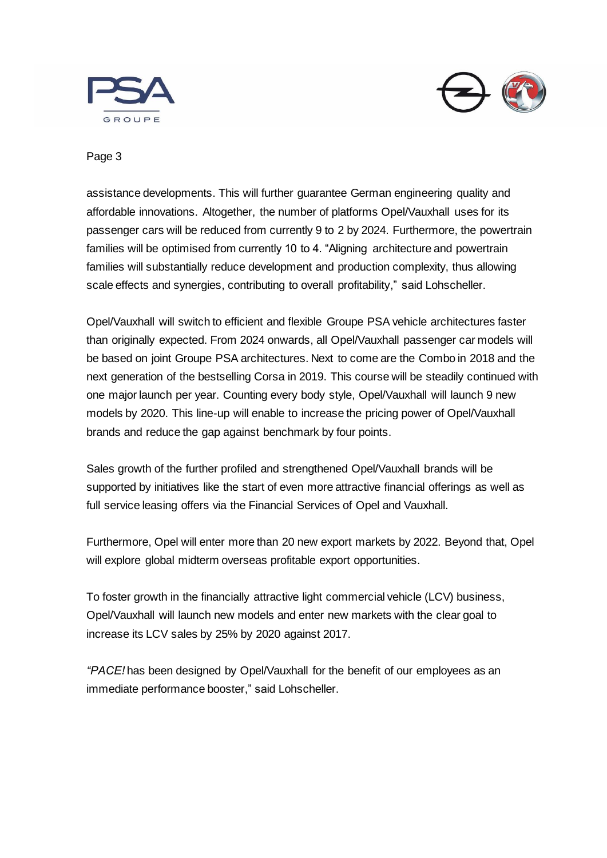



#### Page 3

assistance developments. This will further guarantee German engineering quality and affordable innovations. Altogether, the number of platforms Opel/Vauxhall uses for its passenger cars will be reduced from currently 9 to 2 by 2024. Furthermore, the powertrain families will be optimised from currently 10 to 4. "Aligning architecture and powertrain families will substantially reduce development and production complexity, thus allowing scale effects and synergies, contributing to overall profitability," said Lohscheller.

Opel/Vauxhall will switch to efficient and flexible Groupe PSA vehicle architectures faster than originally expected. From 2024 onwards, all Opel/Vauxhall passenger car models will be based on joint Groupe PSA architectures. Next to come are the Combo in 2018 and the next generation of the bestselling Corsa in 2019. This course will be steadily continued with one major launch per year. Counting every body style, Opel/Vauxhall will launch 9 new models by 2020. This line-up will enable to increase the pricing power of Opel/Vauxhall brands and reduce the gap against benchmark by four points.

Sales growth of the further profiled and strengthened Opel/Vauxhall brands will be supported by initiatives like the start of even more attractive financial offerings as well as full service leasing offers via the Financial Services of Opel and Vauxhall.

Furthermore, Opel will enter more than 20 new export markets by 2022. Beyond that, Opel will explore global midterm overseas profitable export opportunities.

To foster growth in the financially attractive light commercial vehicle (LCV) business, Opel/Vauxhall will launch new models and enter new markets with the clear goal to increase its LCV sales by 25% by 2020 against 2017.

*"PACE!* has been designed by Opel/Vauxhall for the benefit of our employees as an immediate performance booster," said Lohscheller.